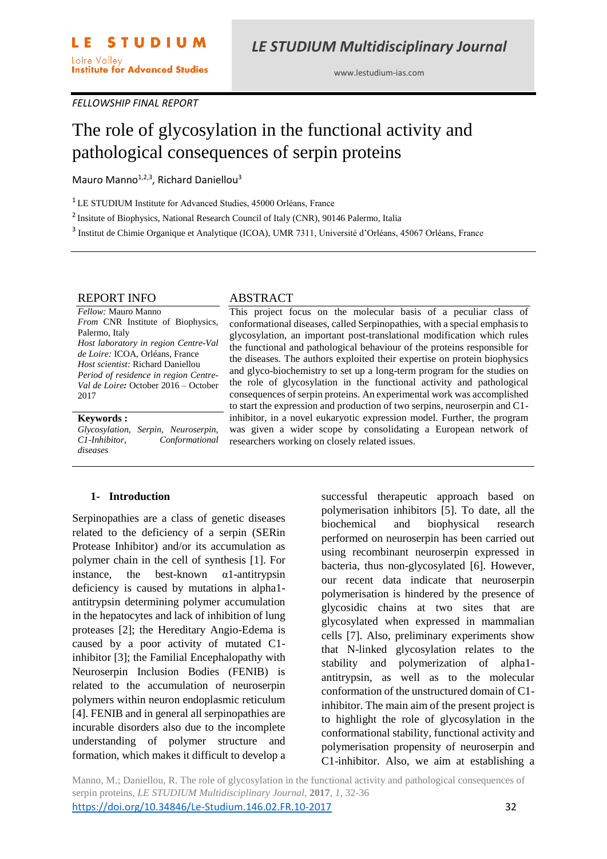www.lestudium-ias.com

#### *FELLOWSHIP FINAL REPORT*

# The role of glycosylation in the functional activity and pathological consequences of serpin proteins

Mauro Manno<sup>1,2,3</sup>, Richard Daniellou<sup>3</sup>

<sup>1</sup> LE STUDIUM Institute for Advanced Studies, 45000 Orléans, France

<sup>2</sup> Insitute of Biophysics, National Research Council of Italy (CNR), 90146 Palermo, Italia

<sup>3</sup> Institut de Chimie Organique et Analytique (ICOA), UMR 7311, Université d'Orléans, 45067 Orléans, France

#### REPORT INFO

*Fellow:* Mauro Manno *From* CNR Institute of Biophysics, Palermo, Italy *Host laboratory in region Centre-Val de Loire:* ICOA, Orléans, France *Host scientist:* Richard Daniellou *Period of residence in region Centre-Val de Loire:* October 2016 – October 2017

#### **Keywords :**

*Glycosylation, Serpin, Neuroserpin, C1-Inhibitor, Conformational diseases*

#### ABSTRACT

This project focus on the molecular basis of a peculiar class of conformational diseases, called Serpinopathies, with a special emphasis to glycosylation, an important post-translational modification which rules the functional and pathological behaviour of the proteins responsible for the diseases. The authors exploited their expertise on protein biophysics and glyco-biochemistry to set up a long-term program for the studies on the role of glycosylation in the functional activity and pathological consequences of serpin proteins. An experimental work was accomplished to start the expression and production of two serpins, neuroserpin and C1 inhibitor, in a novel eukaryotic expression model. Further, the program was given a wider scope by consolidating a European network of researchers working on closely related issues.

#### **1- Introduction**

Serpinopathies are a class of genetic diseases related to the deficiency of a serpin (SERin Protease Inhibitor) and/or its accumulation as polymer chain in the cell of synthesis [1]. For instance, the best-known α1-antitrypsin deficiency is caused by mutations in alpha1 antitrypsin determining polymer accumulation in the hepatocytes and lack of inhibition of lung proteases [2]; the Hereditary Angio-Edema is caused by a poor activity of mutated C1 inhibitor [3]; the Familial Encephalopathy with Neuroserpin Inclusion Bodies (FENIB) is related to the accumulation of neuroserpin polymers within neuron endoplasmic reticulum [4]. FENIB and in general all serpinopathies are incurable disorders also due to the incomplete understanding of polymer structure and formation, which makes it difficult to develop a

successful therapeutic approach based on polymerisation inhibitors [5]. To date, all the biochemical and biophysical research performed on neuroserpin has been carried out using recombinant neuroserpin expressed in bacteria, thus non-glycosylated [6]. However, our recent data indicate that neuroserpin polymerisation is hindered by the presence of glycosidic chains at two sites that are glycosylated when expressed in mammalian cells [7]. Also, preliminary experiments show that N-linked glycosylation relates to the stability and polymerization of alpha1 antitrypsin, as well as to the molecular conformation of the unstructured domain of C1 inhibitor. The main aim of the present project is to highlight the role of glycosylation in the conformational stability, functional activity and polymerisation propensity of neuroserpin and C1-inhibitor. Also, we aim at establishing a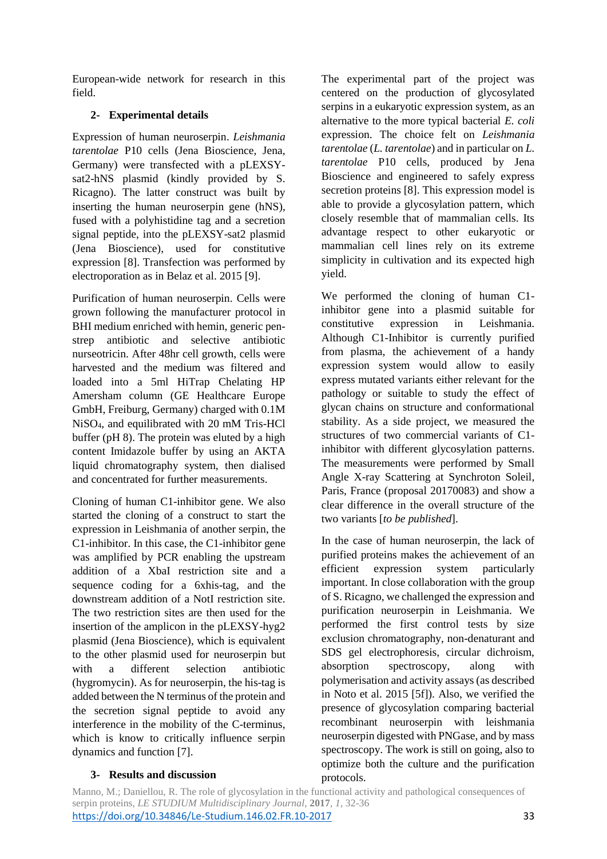European-wide network for research in this field.

## **2- Experimental details**

Expression of human neuroserpin. *Leishmania tarentolae* P10 cells (Jena Bioscience, Jena, Germany) were transfected with a pLEXSYsat2-hNS plasmid (kindly provided by S. Ricagno). The latter construct was built by inserting the human neuroserpin gene (hNS), fused with a polyhistidine tag and a secretion signal peptide, into the pLEXSY-sat2 plasmid (Jena Bioscience), used for constitutive expression [8]. Transfection was performed by electroporation as in Belaz et al. 2015 [9].

Purification of human neuroserpin. Cells were grown following the manufacturer protocol in BHI medium enriched with hemin, generic penstrep antibiotic and selective antibiotic nurseotricin. After 48hr cell growth, cells were harvested and the medium was filtered and loaded into a 5ml HiTrap Chelating HP Amersham column (GE Healthcare Europe GmbH, Freiburg, Germany) charged with 0.1M NiSO4, and equilibrated with 20 mM Tris-HCl buffer (pH 8). The protein was eluted by a high content Imidazole buffer by using an AKTA liquid chromatography system, then dialised and concentrated for further measurements.

Cloning of human C1-inhibitor gene. We also started the cloning of a construct to start the expression in Leishmania of another serpin, the C1-inhibitor. In this case, the C1-inhibitor gene was amplified by PCR enabling the upstream addition of a XbaI restriction site and a sequence coding for a 6xhis-tag, and the downstream addition of a NotI restriction site. The two restriction sites are then used for the insertion of the amplicon in the pLEXSY-hyg2 plasmid (Jena Bioscience), which is equivalent to the other plasmid used for neuroserpin but with a different selection antibiotic (hygromycin). As for neuroserpin, the his-tag is added between the N terminus of the protein and the secretion signal peptide to avoid any interference in the mobility of the C-terminus, which is know to critically influence serpin dynamics and function [7].

The experimental part of the project was centered on the production of glycosylated serpins in a eukaryotic expression system, as an alternative to the more typical bacterial *E. coli* expression. The choice felt on *Leishmania tarentolae* (*L. tarentolae*) and in particular on *L. tarentolae* P10 cells, produced by Jena Bioscience and engineered to safely express secretion proteins [8]. This expression model is able to provide a glycosylation pattern, which closely resemble that of mammalian cells. Its advantage respect to other eukaryotic or mammalian cell lines rely on its extreme simplicity in cultivation and its expected high yield.

We performed the cloning of human C1 inhibitor gene into a plasmid suitable for constitutive expression in Leishmania. Although C1-Inhibitor is currently purified from plasma, the achievement of a handy expression system would allow to easily express mutated variants either relevant for the pathology or suitable to study the effect of glycan chains on structure and conformational stability. As a side project, we measured the structures of two commercial variants of C1 inhibitor with different glycosylation patterns. The measurements were performed by Small Angle X-ray Scattering at Synchroton Soleil, Paris, France (proposal 20170083) and show a clear difference in the overall structure of the two variants [*to be published*].

In the case of human neuroserpin, the lack of purified proteins makes the achievement of an efficient expression system particularly important. In close collaboration with the group of S. Ricagno, we challenged the expression and purification neuroserpin in Leishmania. We performed the first control tests by size exclusion chromatography, non-denaturant and SDS gel electrophoresis, circular dichroism, absorption spectroscopy, along with polymerisation and activity assays (as described in Noto et al. 2015 [5f]). Also, we verified the presence of glycosylation comparing bacterial recombinant neuroserpin with leishmania neuroserpin digested with PNGase, and by mass spectroscopy. The work is still on going, also to optimize both the culture and the purification protocols.

#### **3- Results and discussion**

Manno, M.; Daniellou, R. The role of glycosylation in the functional activity and pathological consequences of serpin proteins, *LE STUDIUM Multidisciplinary Journal*, **2017**, *1*, 32-36 <https://doi.org/10.34846/Le-Studium.146.02.FR.10-2017> 33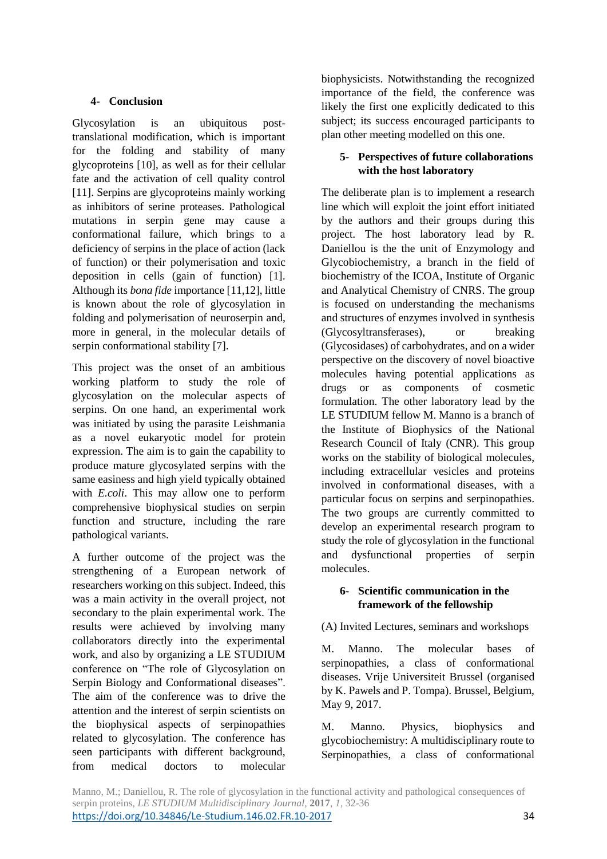## **4- Conclusion**

Glycosylation is an ubiquitous posttranslational modification, which is important for the folding and stability of many glycoproteins [10], as well as for their cellular fate and the activation of cell quality control [11]. Serpins are glycoproteins mainly working as inhibitors of serine proteases. Pathological mutations in serpin gene may cause a conformational failure, which brings to a deficiency of serpins in the place of action (lack of function) or their polymerisation and toxic deposition in cells (gain of function) [1]. Although its *bona fide* importance [11,12], little is known about the role of glycosylation in folding and polymerisation of neuroserpin and, more in general, in the molecular details of serpin conformational stability [7].

This project was the onset of an ambitious working platform to study the role of glycosylation on the molecular aspects of serpins. On one hand, an experimental work was initiated by using the parasite Leishmania as a novel eukaryotic model for protein expression. The aim is to gain the capability to produce mature glycosylated serpins with the same easiness and high yield typically obtained with *E.coli*. This may allow one to perform comprehensive biophysical studies on serpin function and structure, including the rare pathological variants.

A further outcome of the project was the strengthening of a European network of researchers working on this subject. Indeed, this was a main activity in the overall project, not secondary to the plain experimental work. The results were achieved by involving many collaborators directly into the experimental work, and also by organizing a LE STUDIUM conference on "The role of Glycosylation on Serpin Biology and Conformational diseases". The aim of the conference was to drive the attention and the interest of serpin scientists on the biophysical aspects of serpinopathies related to glycosylation. The conference has seen participants with different background, from medical doctors to molecular biophysicists. Notwithstanding the recognized importance of the field, the conference was likely the first one explicitly dedicated to this subject; its success encouraged participants to plan other meeting modelled on this one.

## **5- Perspectives of future collaborations with the host laboratory**

The deliberate plan is to implement a research line which will exploit the joint effort initiated by the authors and their groups during this project. The host laboratory lead by R. Daniellou is the the unit of Enzymology and Glycobiochemistry, a branch in the field of biochemistry of the ICOA, Institute of Organic and Analytical Chemistry of CNRS. The group is focused on understanding the mechanisms and structures of enzymes involved in synthesis (Glycosyltransferases), or breaking (Glycosidases) of carbohydrates, and on a wider perspective on the discovery of novel bioactive molecules having potential applications as drugs or as components of cosmetic formulation. The other laboratory lead by the LE STUDIUM fellow M. Manno is a branch of the Institute of Biophysics of the National Research Council of Italy (CNR). This group works on the stability of biological molecules, including extracellular vesicles and proteins involved in conformational diseases, with a particular focus on serpins and serpinopathies. The two groups are currently committed to develop an experimental research program to study the role of glycosylation in the functional and dysfunctional properties of serpin molecules.

#### **6- Scientific communication in the framework of the fellowship**

## (A) Invited Lectures, seminars and workshops

M. Manno. The molecular bases of serpinopathies, a class of conformational diseases. Vrije Universiteit Brussel (organised by K. Pawels and P. Tompa). Brussel, Belgium, May 9, 2017.

M. Manno. Physics, biophysics and glycobiochemistry: A multidisciplinary route to Serpinopathies, a class of conformational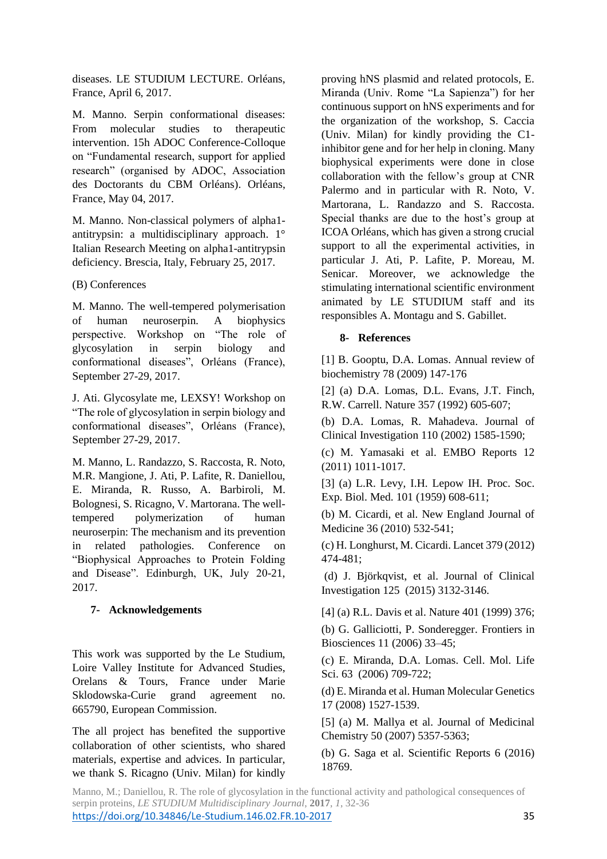diseases. LE STUDIUM LECTURE. Orléans, France, April 6, 2017.

M. Manno. Serpin conformational diseases: From molecular studies to therapeutic intervention. 15h ADOC Conference-Colloque on "Fundamental research, support for applied research" (organised by ADOC, Association des Doctorants du CBM Orléans). Orléans, France, May 04, 2017.

M. Manno. Non-classical polymers of alpha1 antitrypsin: a multidisciplinary approach. 1° Italian Research Meeting on alpha1-antitrypsin deficiency. Brescia, Italy, February 25, 2017.

## (B) Conferences

M. Manno. The well-tempered polymerisation of human neuroserpin. A biophysics perspective. Workshop on "The role of glycosylation in serpin biology and conformational diseases", Orléans (France), September 27-29, 2017.

J. Ati. Glycosylate me, LEXSY! Workshop on "The role of glycosylation in serpin biology and conformational diseases", Orléans (France), September 27-29, 2017.

M. Manno, L. Randazzo, S. Raccosta, R. Noto, M.R. Mangione, J. Ati, P. Lafite, R. Daniellou, E. Miranda, R. Russo, A. Barbiroli, M. Bolognesi, S. Ricagno, V. Martorana. The welltempered polymerization of human neuroserpin: The mechanism and its prevention in related pathologies. Conference on "Biophysical Approaches to Protein Folding and Disease". Edinburgh, UK, July 20-21, 2017.

## **7- Acknowledgements**

This work was supported by the Le Studium, Loire Valley Institute for Advanced Studies, Orelans & Tours, France under Marie Sklodowska-Curie grand agreement no. 665790, European Commission.

The all project has benefited the supportive collaboration of other scientists, who shared materials, expertise and advices. In particular, we thank S. Ricagno (Univ. Milan) for kindly

proving hNS plasmid and related protocols, E. Miranda (Univ. Rome "La Sapienza") for her continuous support on hNS experiments and for the organization of the workshop, S. Caccia (Univ. Milan) for kindly providing the C1 inhibitor gene and for her help in cloning. Many biophysical experiments were done in close collaboration with the fellow's group at CNR Palermo and in particular with R. Noto, V. Martorana, L. Randazzo and S. Raccosta. Special thanks are due to the host's group at ICOA Orléans, which has given a strong crucial support to all the experimental activities, in particular J. Ati, P. Lafite, P. Moreau, M. Senicar. Moreover, we acknowledge the stimulating international scientific environment animated by LE STUDIUM staff and its responsibles A. Montagu and S. Gabillet.

## **8- References**

[1] B. Gooptu, D.A. Lomas. Annual review of biochemistry 78 (2009) 147-176

[2] (a) D.A. Lomas, D.L. Evans, J.T. Finch, R.W. Carrell. Nature 357 (1992) 605-607;

(b) D.A. Lomas, R. Mahadeva. Journal of Clinical Investigation 110 (2002) 1585-1590;

(c) M. Yamasaki et al. EMBO Reports 12 (2011) 1011-1017.

[3] (a) L.R. Levy, I.H. Lepow IH. Proc. Soc. Exp. Biol. Med. 101 (1959) 608-611;

(b) M. Cicardi, et al. New England Journal of Medicine 36 (2010) 532-541;

(c) H. Longhurst, M. Cicardi. Lancet 379 (2012) 474-481;

(d) J. Björkqvist, et al. Journal of Clinical Investigation 125 (2015) 3132-3146.

[4] (a) R.L. Davis et al. Nature 401 (1999) 376;

(b) G. Galliciotti, P. Sonderegger. Frontiers in Biosciences 11 (2006) 33–45;

(c) E. Miranda, D.A. Lomas. Cell. Mol. Life Sci. 63 (2006) 709-722;

(d) E. Miranda et al. Human Molecular Genetics 17 (2008) 1527-1539.

[5] (a) M. Mallya et al. Journal of Medicinal Chemistry 50 (2007) 5357-5363;

(b) G. Saga et al. Scientific Reports 6 (2016) 18769.